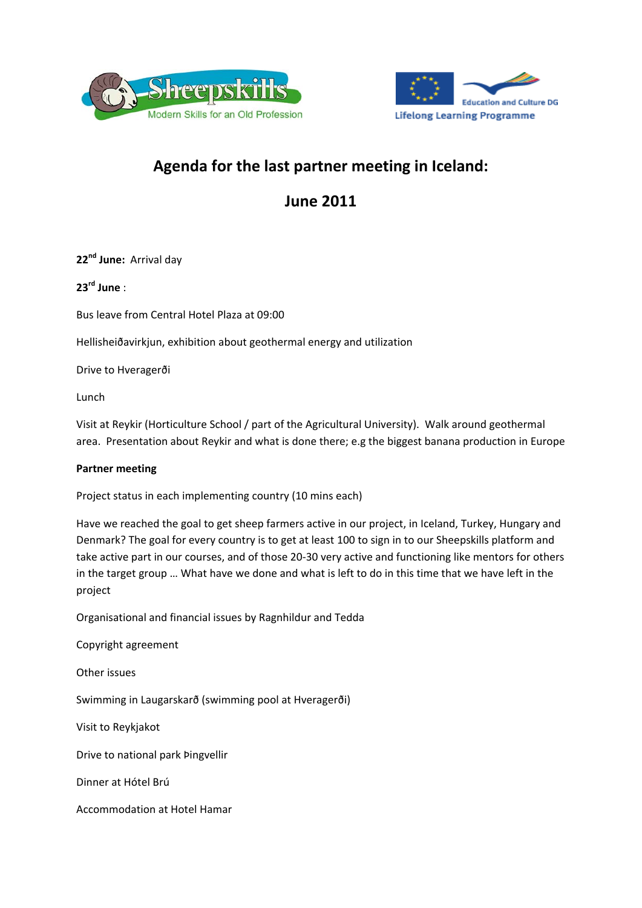



# **Agenda for the last partner meeting in Iceland:**

# **June 2011**

**22nd June:** Arrival day

**23rd June** :

Bus leave from Central Hotel Plaza at 09:00

Hellisheiðavirkjun, exhibition about geothermal energy and utilization

Drive to Hveragerði

Lunch

Visit at Reykir (Horticulture School / part of the Agricultural University). Walk around geothermal area. Presentation about Reykir and what is done there; e.g the biggest banana production in Europe

### **Partner meeting**

Project status in each implementing country (10 mins each)

Have we reached the goal to get sheep farmers active in our project, in Iceland, Turkey, Hungary and Denmark? The goal for every country is to get at least 100 to sign in to our Sheepskills platform and take active part in our courses, and of those 20‐30 very active and functioning like mentors for others in the target group … What have we done and what is left to do in this time that we have left in the project

Organisational and financial issues by Ragnhildur and Tedda

Copyright agreement

Other issues

Swimming in Laugarskarð (swimming pool at Hveragerði)

Visit to Reykjakot

Drive to national park Þingvellir

Dinner at Hótel Brú

Accommodation at Hotel Hamar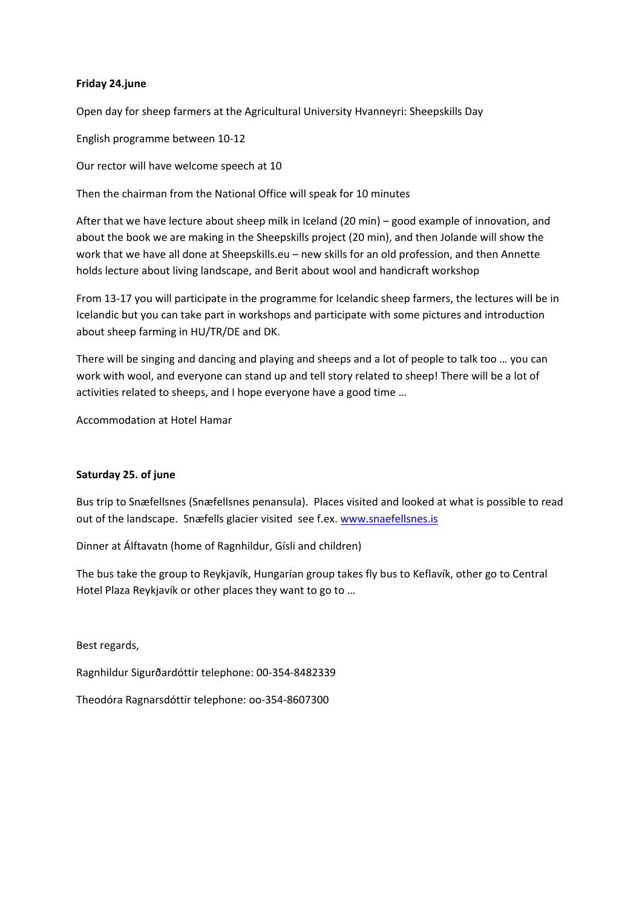### **Friday 24.june**

Open day for sheep farmers at the Agricultural University Hvanneyri: Sheepskills Day

English programme between 10‐12

Our rector will have welcome speech at 10

Then the chairman from the National Office will speak for 10 minutes

After that we have lecture about sheep milk in Iceland (20 min) – good example of innovation, and about the book we are making in the Sheepskills project (20 min), and then Jolande will show the work that we have all done at Sheepskills.eu – new skills for an old profession, and then Annette holds lecture about living landscape, and Berit about wool and handicraft workshop

From 13‐17 you will participate in the programme for Icelandic sheep farmers, the lectures will be in Icelandic but you can take part in workshops and participate with some pictures and introduction about sheep farming in HU/TR/DE and DK.

There will be singing and dancing and playing and sheeps and a lot of people to talk too … you can work with wool, and everyone can stand up and tell story related to sheep! There will be a lot of activities related to sheeps, and I hope everyone have a good time …

Accommodation at Hotel Hamar

### **Saturday 25. of june**

Bus trip to Snæfellsnes (Snæfellsnes penansula). Places visited and looked at what is possible to read out of the landscape. Snæfells glacier visited see f.ex. www.snaefellsnes.is

Dinner at Álftavatn (home of Ragnhildur, Gísli and children)

The bus take the group to Reykjavík, Hungarian group takes fly bus to Keflavík, other go to Central Hotel Plaza Reykjavík or other places they want to go to …

Best regards,

Ragnhildur Sigurðardóttir telephone: 00‐354‐8482339

Theodóra Ragnarsdóttir telephone: oo‐354‐8607300